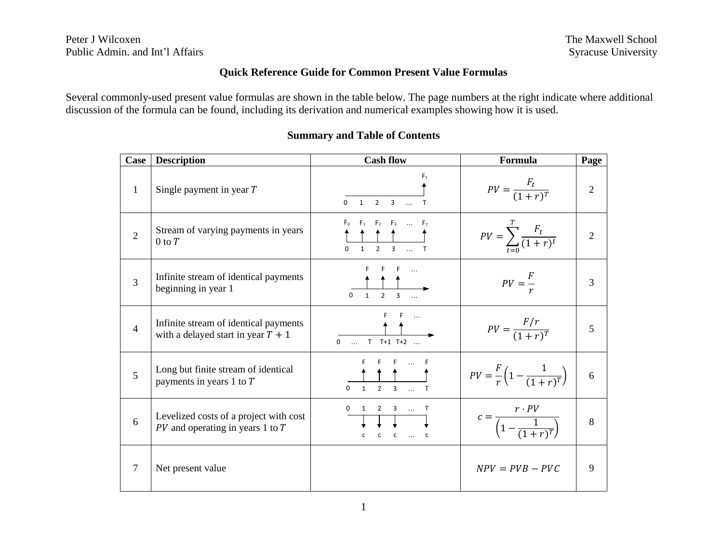# **Quick Reference Guide for Common Present Value Formulas**

Several commonly-used present value formulas are shown in the table below. The page numbers at the right indicate where additional discussion of the formula can be found, including its derivation and numerical examples showing how it is used.

| Case           | <b>Description</b>                                                             | <b>Cash flow</b>                                                                                            | Formula                                                     | Page           |
|----------------|--------------------------------------------------------------------------------|-------------------------------------------------------------------------------------------------------------|-------------------------------------------------------------|----------------|
| $\mathbf{1}$   | Single payment in year T                                                       | $F_{\rm T}$<br>$\overline{3}$<br>$\overline{1}$<br>$\overline{2}$<br>$\Omega$<br>$\mathsf{T}$<br>$\dddotsc$ | $PV = \frac{F_t}{(1+r)^T}$                                  | $\overline{2}$ |
| $\overline{2}$ | Stream of varying payments in years<br>$0$ to $T$                              | $F_0$ $F_1$ $F_2$ $F_3$ $F_T$<br>$\Omega$<br>$\overline{2}$<br>$\mathbf{1}$                                 | $PV = \sum_{t=0}^{1} \frac{F_t}{(1+r)^t}$                   | $\overline{2}$ |
| 3              | Infinite stream of identical payments<br>beginning in year 1                   | $\Omega$                                                                                                    | $PV = \frac{F}{r}$                                          | 3              |
| $\overline{4}$ | Infinite stream of identical payments<br>with a delayed start in year $T + 1$  | $\cdots$<br>$T$ $T+1$ $T+2$<br>$\Omega$<br>$\sim$ $\sim$ $\sim$                                             | $PV = \frac{F/r}{(1+r)^{T}}$                                | 5              |
| $\overline{5}$ | Long but finite stream of identical<br>payments in years 1 to $T$              | $\mathcal{L}$<br>$\mathbf{1}$<br>$\Omega$                                                                   | $PV = \frac{F}{r} \left( 1 - \frac{1}{(1+r)^{T}} \right)$   | 6              |
| 6              | Levelized costs of a project with cost<br>$PV$ and operating in years 1 to $T$ | $\Omega$<br>2 3  T<br>$\mathsf{c}$<br>$\ldots$ C<br>c<br>c                                                  | $c = \frac{r \cdot PV}{\left(1 - \frac{1}{(1+r)^T}\right)}$ | 8              |
| 7              | Net present value                                                              |                                                                                                             | $NPV = PVB - PVC$                                           | 9              |

# **Summary and Table of Contents**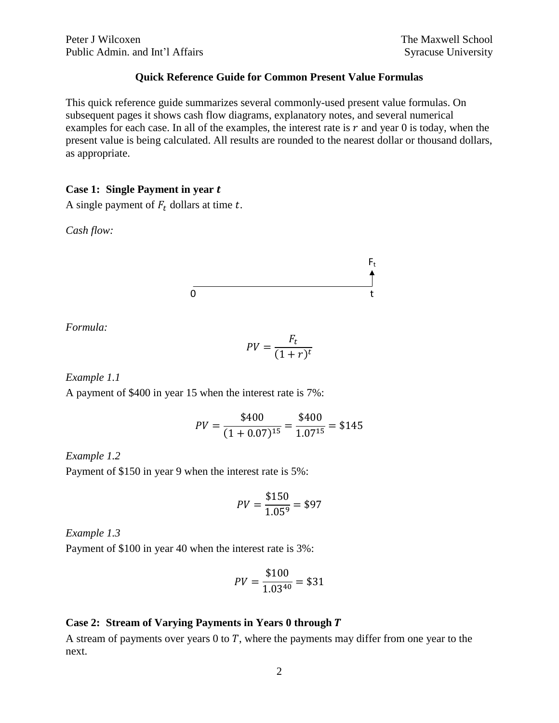# **Quick Reference Guide for Common Present Value Formulas**

This quick reference guide summarizes several commonly-used present value formulas. On subsequent pages it shows cash flow diagrams, explanatory notes, and several numerical examples for each case. In all of the examples, the interest rate is  $r$  and year 0 is today, when the present value is being calculated. All results are rounded to the nearest dollar or thousand dollars, as appropriate.

#### **Case 1: Single Payment in year**

A single payment of  $F_t$  dollars at time  $t$ .

*Cash flow:*

$$
\begin{array}{c}\nF_t \\
\uparrow \\
0\n\end{array}
$$

*Formula:*

$$
PV = \frac{F_t}{(1+r)^t}
$$

*Example 1.1*

A payment of \$400 in year 15 when the interest rate is 7%:

$$
PV = \frac{$400}{$(1+0.07)^{15}} = \frac{$400}{$1.07^{15}} = $145
$$

## *Example 1.2*

Payment of \$150 in year 9 when the interest rate is 5%:

$$
PV = \frac{$150}{1.05^9} = $97
$$

*Example 1.3*

Payment of \$100 in year 40 when the interest rate is 3%:

$$
PV = \frac{$100}{1.03^{40}} = $31
$$

# **Case 2: Stream of Varying Payments in Years 0 through**

A stream of payments over years  $0$  to  $T$ , where the payments may differ from one year to the next.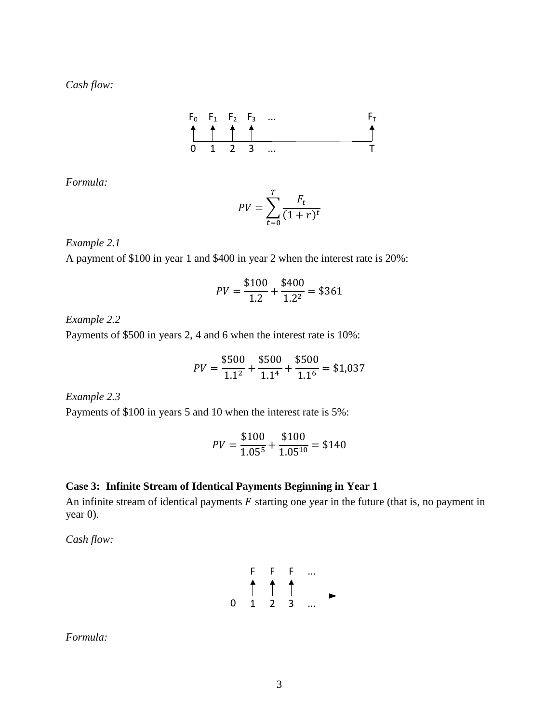

*Formula:*

$$
PV = \sum_{t=0}^{T} \frac{F_t}{(1+r)^t}
$$

*Example 2.1*

A payment of \$100 in year 1 and \$400 in year 2 when the interest rate is 20%:

$$
PV = \frac{$100}{$1.2} + \frac{$400}{$1.2^2} = $361
$$

*Example 2.2*

Payments of \$500 in years 2, 4 and 6 when the interest rate is 10%:

$$
PV = \frac{$500}{1.1^2} + \frac{$500}{1.1^4} + \frac{$500}{1.1^6} = $1,037
$$

*Example 2.3*

Payments of \$100 in years 5 and 10 when the interest rate is 5%:

$$
PV = \frac{$100}{$1.05^5} + \frac{$100}{$1.05^{10}} = $140
$$

# **Case 3: Infinite Stream of Identical Payments Beginning in Year 1**

An infinite stream of identical payments  $F$  starting one year in the future (that is, no payment in year 0).

*Cash flow:*



*Formula:*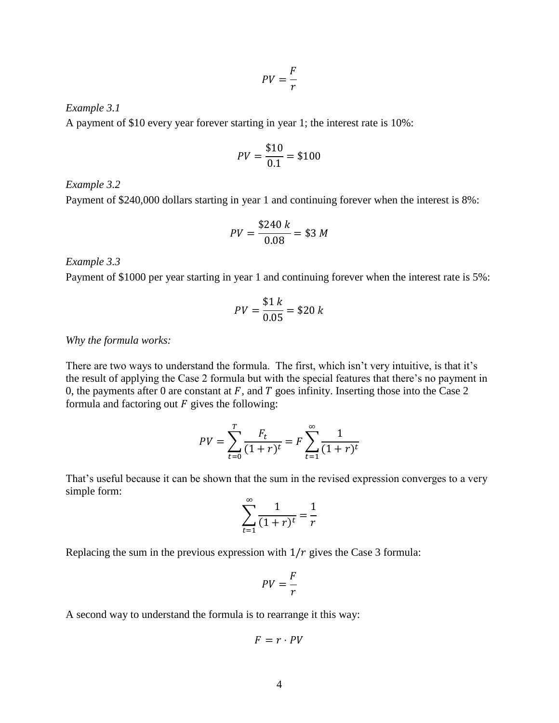$$
PV = \frac{F}{r}
$$

*Example 3.1*

A payment of \$10 every year forever starting in year 1; the interest rate is 10%:

$$
PV = \frac{$10}{0.1} = $100
$$

*Example 3.2*

Payment of \$240,000 dollars starting in year 1 and continuing forever when the interest is 8%:

$$
PV = \frac{\$240 \, k}{0.08} = \$3 \, M
$$

*Example 3.3*

Payment of \$1000 per year starting in year 1 and continuing forever when the interest rate is 5%:

$$
PV = \frac{$1 k}{0.05} = $20 k
$$

*Why the formula works:*

There are two ways to understand the formula. The first, which isn't very intuitive, is that it's the result of applying the Case 2 formula but with the special features that there's no payment in 0, the payments after 0 are constant at  $F$ , and  $T$  goes infinity. Inserting those into the Case 2 formula and factoring out  $F$  gives the following:

$$
PV = \sum_{t=0}^{T} \frac{F_t}{(1+r)^t} = F \sum_{t=1}^{\infty} \frac{1}{(1+r)^t}
$$

That's useful because it can be shown that the sum in the revised expression converges to a very simple form:

$$
\sum_{t=1}^{\infty} \frac{1}{(1+r)^t} = \frac{1}{r}
$$

Replacing the sum in the previous expression with  $1/r$  gives the Case 3 formula:

$$
PV = \frac{F}{r}
$$

A second way to understand the formula is to rearrange it this way:

$$
F=r\cdot PV
$$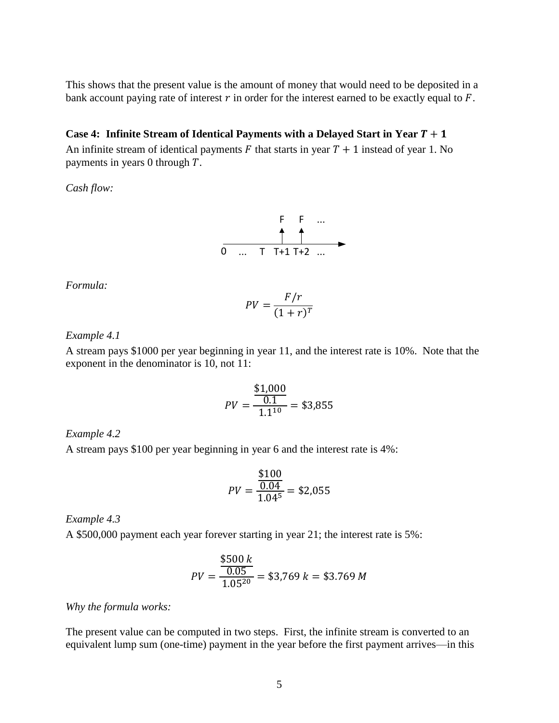This shows that the present value is the amount of money that would need to be deposited in a bank account paying rate of interest  $r$  in order for the interest earned to be exactly equal to  $F$ .

## **Case 4: Infinite Stream of Identical Payments with a Delayed Start in Year**  $T + 1$

An infinite stream of identical payments  $F$  that starts in year  $T + 1$  instead of year 1. No payments in years 0 through  $T$ .

*Cash flow:*

$$
\begin{array}{c}\nF & F & \dots \\
\hline\n\uparrow & \uparrow \\
\hline\n0 & \dots & T & T+1 & T+2 & \dots\n\end{array}
$$

*Formula:*

$$
PV = \frac{F/r}{(1+r)^T}
$$

## *Example 4.1*

A stream pays \$1000 per year beginning in year 11, and the interest rate is 10%. Note that the exponent in the denominator is 10, not 11:

$$
PV = \frac{\$1,000}{0.1} = \$3,855
$$

## *Example 4.2*

A stream pays \$100 per year beginning in year 6 and the interest rate is 4%:

$$
PV = \frac{\frac{$100}{0.04}}{1.04^5} = $2,055
$$

*Example 4.3*

A \$500,000 payment each year forever starting in year 21; the interest rate is 5%:

$$
PV = \frac{\frac{$500 \, k}{0.05}}{1.05^{20}} = $3,769 \, k = $3.769 \, M
$$

*Why the formula works:*

The present value can be computed in two steps. First, the infinite stream is converted to an equivalent lump sum (one-time) payment in the year before the first payment arrives—in this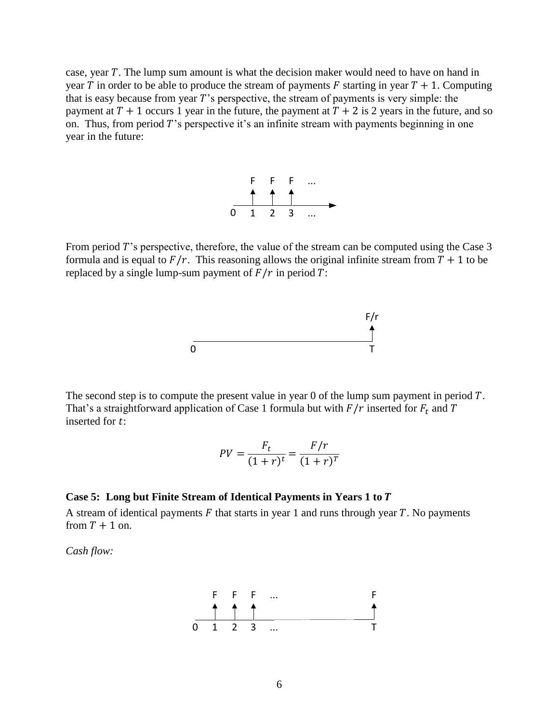case, year  $T$ . The lump sum amount is what the decision maker would need to have on hand in year T in order to be able to produce the stream of payments F starting in year  $T + 1$ . Computing that is easy because from year  $T$ 's perspective, the stream of payments is very simple: the payment at  $T + 1$  occurs 1 year in the future, the payment at  $T + 2$  is 2 years in the future, and so on. Thus, from period  $T$ 's perspective it's an infinite stream with payments beginning in one year in the future:



From period  $T$ 's perspective, therefore, the value of the stream can be computed using the Case  $3$ formula and is equal to  $F/r$ . This reasoning allows the original infinite stream from  $T + 1$  to be replaced by a single lump-sum payment of  $\overline{F}/r$  in period  $\overline{T}$ :



The second step is to compute the present value in year  $0$  of the lump sum payment in period  $T$ . That's a straightforward application of Case 1 formula but with  $F/r$  inserted for  $F_t$  and T inserted for  $t$ :

$$
PV = \frac{F_t}{(1+r)^t} = \frac{F/r}{(1+r)^T}
$$

## **Case 5: Long but Finite Stream of Identical Payments in Years 1 to**

A stream of identical payments  $F$  that starts in year 1 and runs through year  $T$ . No payments from  $T + 1$  on.

*Cash flow:*

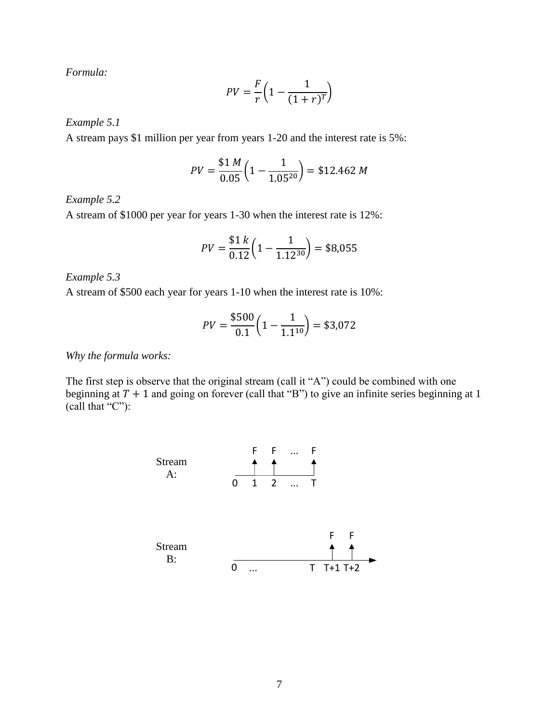*Formula:*

$$
PV = \frac{F}{r} \left( 1 - \frac{1}{(1+r)^T} \right)
$$

*Example 5.1*

A stream pays \$1 million per year from years 1-20 and the interest rate is 5%:

$$
PV = \frac{$1 M}{0.05} \left( 1 - \frac{1}{1.05^{20}} \right) = $12.462 M
$$

*Example 5.2*

A stream of \$1000 per year for years 1-30 when the interest rate is 12%:

$$
PV = \frac{$1 k}{0.12} \left( 1 - \frac{1}{1.12^{30}} \right) = $8,055
$$

*Example 5.3*

A stream of \$500 each year for years 1-10 when the interest rate is 10%:

$$
PV = \frac{$500}{0.1} \left( 1 - \frac{1}{1.1^{10}} \right) = $3,072
$$

*Why the formula works:*

The first step is observe that the original stream (call it "A") could be combined with one beginning at  $T + 1$  and going on forever (call that "B") to give an infinite series beginning at 1 (call that "C"):

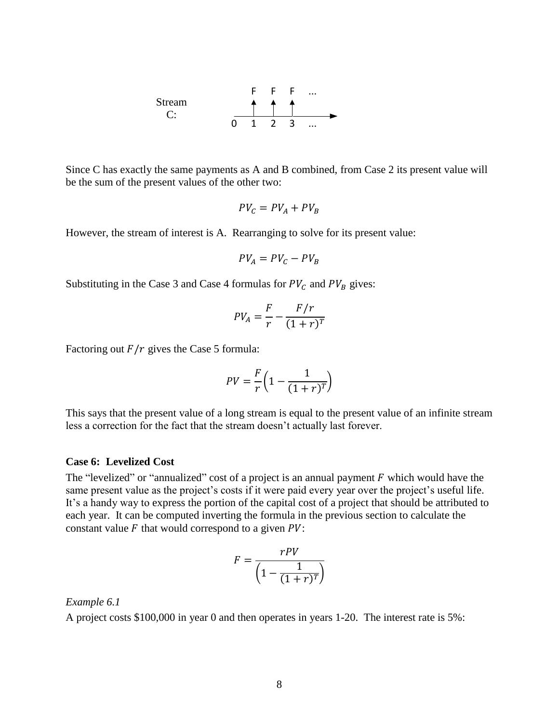

Since C has exactly the same payments as A and B combined, from Case 2 its present value will be the sum of the present values of the other two:

$$
PV_C = PV_A + PV_B
$$

However, the stream of interest is A. Rearranging to solve for its present value:

$$
PV_A = PV_C - PV_B
$$

Substituting in the Case 3 and Case 4 formulas for  $PV_C$  and  $PV_B$  gives:

$$
PV_A = \frac{F}{r} - \frac{F/r}{(1+r)^T}
$$

Factoring out  $F/r$  gives the Case 5 formula:

$$
PV = \frac{F}{r} \left( 1 - \frac{1}{(1+r)^T} \right)
$$

This says that the present value of a long stream is equal to the present value of an infinite stream less a correction for the fact that the stream doesn't actually last forever.

#### **Case 6: Levelized Cost**

The "levelized" or "annualized" cost of a project is an annual payment  $F$  which would have the same present value as the project's costs if it were paid every year over the project's useful life. It's a handy way to express the portion of the capital cost of a project that should be attributed to each year. It can be computed inverting the formula in the previous section to calculate the constant value  $F$  that would correspond to a given  $PV$ :

$$
F = \frac{rPV}{\left(1 - \frac{1}{(1+r)^T}\right)}
$$

#### *Example 6.1*

A project costs \$100,000 in year 0 and then operates in years 1-20. The interest rate is 5%: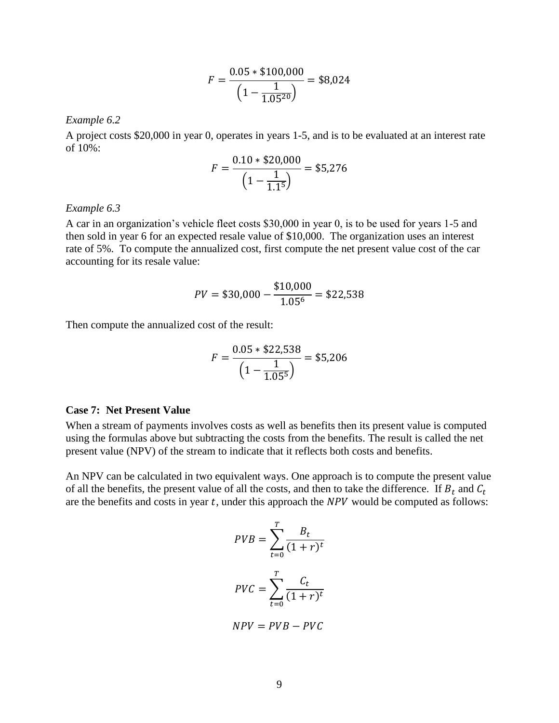$$
F = \frac{0.05 * \$100,000}{\left(1 - \frac{1}{1.05^{20}}\right)} = \$8,024
$$

*Example 6.2*

A project costs \$20,000 in year 0, operates in years 1-5, and is to be evaluated at an interest rate of  $10\%$ :

$$
F = \frac{0.10 * \$20,000}{\left(1 - \frac{1}{1.1^5}\right)} = \$5,276
$$

#### *Example 6.3*

A car in an organization's vehicle fleet costs \$30,000 in year 0, is to be used for years 1-5 and then sold in year 6 for an expected resale value of \$10,000. The organization uses an interest rate of 5%. To compute the annualized cost, first compute the net present value cost of the car accounting for its resale value:

$$
PV = $30,000 - \frac{$10,000}{$1.05^6} = $22,538
$$

Then compute the annualized cost of the result:

$$
F = \frac{0.05 * \$22,538}{\left(1 - \frac{1}{1.05^5}\right)} = \$5,206
$$

#### **Case 7: Net Present Value**

When a stream of payments involves costs as well as benefits then its present value is computed using the formulas above but subtracting the costs from the benefits. The result is called the net present value (NPV) of the stream to indicate that it reflects both costs and benefits.

An NPV can be calculated in two equivalent ways. One approach is to compute the present value of all the benefits, the present value of all the costs, and then to take the difference. If  $B_t$  and  $C_t$ are the benefits and costs in year  $t$ , under this approach the  $NPV$  would be computed as follows:

$$
PVB = \sum_{t=0}^{T} \frac{B_t}{(1+r)^t}
$$

$$
PVC = \sum_{t=0}^{T} \frac{C_t}{(1+r)^t}
$$

$$
NPV = PVB - PVC
$$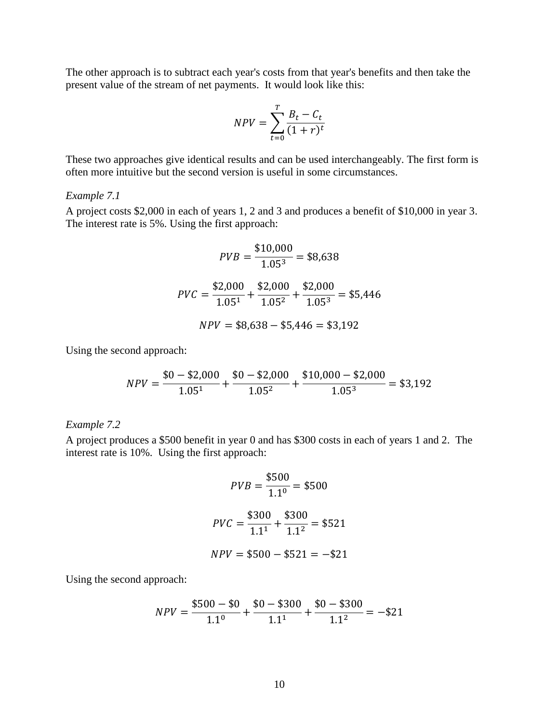The other approach is to subtract each year's costs from that year's benefits and then take the present value of the stream of net payments. It would look like this:

$$
NPV = \sum_{t=0}^{T} \frac{B_t - C_t}{(1+r)^t}
$$

These two approaches give identical results and can be used interchangeably. The first form is often more intuitive but the second version is useful in some circumstances.

## *Example 7.1*

A project costs \$2,000 in each of years 1, 2 and 3 and produces a benefit of \$10,000 in year 3. The interest rate is 5%. Using the first approach:

$$
PVB = \frac{$10,000}{$1.05^3} = $8,638
$$

$$
PVC = \frac{$2,000}{$1.05^1} + \frac{$2,000}{$1.05^2} + \frac{$2,000}{$1.05^3} = $5,446
$$

$$
NPV = $8,638 - $5,446 = $3,192
$$

Using the second approach:

$$
NPV = \frac{$0 - $2,000}{$1.05^{1}} + \frac{$0 - $2,000}{$1.05^{2}} + \frac{$10,000 - $2,000}{$1.05^{3}} = $3,192
$$

*Example 7.2*

A project produces a \$500 benefit in year 0 and has \$300 costs in each of years 1 and 2. The interest rate is 10%. Using the first approach:

$$
PVB = \frac{$500}{$1.1^0} = $500
$$
  

$$
PVC = \frac{$300}{$1.1^1} + \frac{$300}{$1.1^2} = $521
$$
  

$$
NPV = $500 - $521 = -$21
$$

Using the second approach:

$$
NPV = \frac{\$500 - \$0}{1.1^0} + \frac{\$0 - \$300}{1.1^1} + \frac{\$0 - \$300}{1.1^2} = -\$21
$$